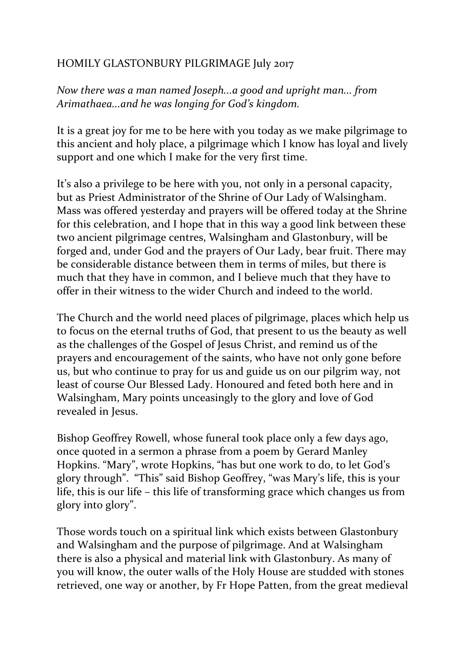## HOMILY GLASTONBURY PILGRIMAGE July 2017

*Now there was a man named Joseph...a good and upright man... from* Arimathaea...and he was longing for God's kingdom.

It is a great joy for me to be here with you today as we make pilgrimage to this ancient and holy place, a pilgrimage which I know has loyal and lively support and one which I make for the very first time.

It's also a privilege to be here with you, not only in a personal capacity, but as Priest Administrator of the Shrine of Our Lady of Walsingham. Mass was offered yesterday and prayers will be offered today at the Shrine for this celebration, and I hope that in this way a good link between these two ancient pilgrimage centres, Walsingham and Glastonbury, will be forged and, under God and the prayers of Our Lady, bear fruit. There may be considerable distance between them in terms of miles, but there is much that they have in common, and I believe much that they have to offer in their witness to the wider Church and indeed to the world.

The Church and the world need places of pilgrimage, places which help us to focus on the eternal truths of God, that present to us the beauty as well as the challenges of the Gospel of Jesus Christ, and remind us of the prayers and encouragement of the saints, who have not only gone before us, but who continue to pray for us and guide us on our pilgrim way, not least of course Our Blessed Lady. Honoured and feted both here and in Walsingham, Mary points unceasingly to the glory and love of God revealed in Jesus.

Bishop Geoffrey Rowell, whose funeral took place only a few days ago, once quoted in a sermon a phrase from a poem by Gerard Manley Hopkins. "Mary", wrote Hopkins, "has but one work to do, to let God's glory through". "This" said Bishop Geoffrey, "was Mary's life, this is your life, this is our life  $-$  this life of transforming grace which changes us from glory into glory".

Those words touch on a spiritual link which exists between Glastonbury and Walsingham and the purpose of pilgrimage. And at Walsingham there is also a physical and material link with Glastonbury. As many of you will know, the outer walls of the Holy House are studded with stones retrieved, one way or another, by Fr Hope Patten, from the great medieval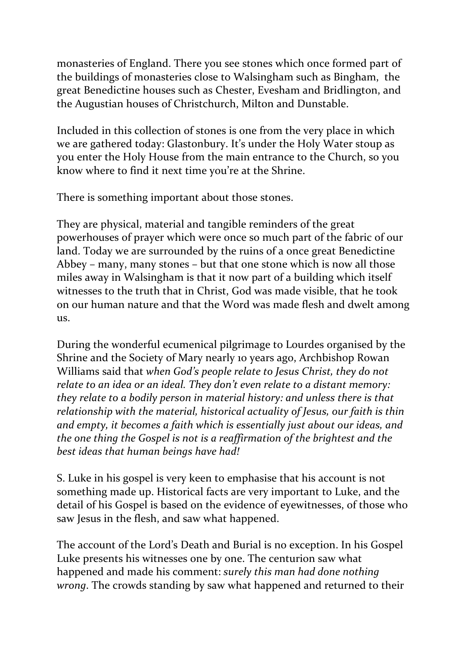monasteries of England. There you see stones which once formed part of the buildings of monasteries close to Walsingham such as Bingham, the great Benedictine houses such as Chester, Evesham and Bridlington, and the Augustian houses of Christchurch, Milton and Dunstable.

Included in this collection of stones is one from the very place in which we are gathered today: Glastonbury. It's under the Holy Water stoup as you enter the Holy House from the main entrance to the Church, so you know where to find it next time you're at the Shrine.

There is something important about those stones.

They are physical, material and tangible reminders of the great powerhouses of prayer which were once so much part of the fabric of our land. Today we are surrounded by the ruins of a once great Benedictine Abbey – many, many stones – but that one stone which is now all those miles away in Walsingham is that it now part of a building which itself witnesses to the truth that in Christ, God was made visible, that he took on our human nature and that the Word was made flesh and dwelt among us. 

During the wonderful ecumenical pilgrimage to Lourdes organised by the Shrine and the Society of Mary nearly 10 years ago, Archbishop Rowan Williams said that *when God's people relate to Jesus Christ, they do not relate to an idea or an ideal. They don't even relate to a distant memory: they relate to a bodily person in material history: and unless there is that relationship* with the material, historical actuality of Jesus, our faith is thin and empty, it becomes a faith which is essentially just about our ideas, and *the* one thing the Gospel is not is a reaffirmation of the brightest and the best *ideas* that human beings have had!

S. Luke in his gospel is very keen to emphasise that his account is not something made up. Historical facts are very important to Luke, and the detail of his Gospel is based on the evidence of eyewitnesses, of those who saw Jesus in the flesh, and saw what happened.

The account of the Lord's Death and Burial is no exception. In his Gospel Luke presents his witnesses one by one. The centurion saw what happened and made his comment: *surely this man had done nothing wrong*. The crowds standing by saw what happened and returned to their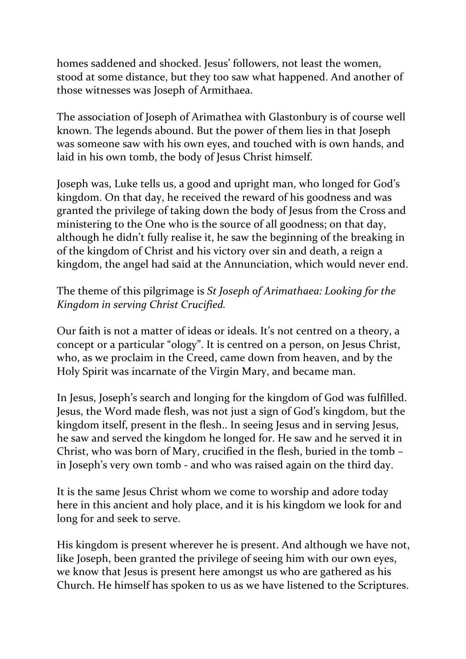homes saddened and shocked. Jesus' followers, not least the women, stood at some distance, but they too saw what happened. And another of those witnesses was Joseph of Armithaea.

The association of Joseph of Arimathea with Glastonbury is of course well known. The legends abound. But the power of them lies in that Joseph was someone saw with his own eyes, and touched with is own hands, and laid in his own tomb, the body of Jesus Christ himself.

Joseph was, Luke tells us, a good and upright man, who longed for God's kingdom. On that day, he received the reward of his goodness and was granted the privilege of taking down the body of Jesus from the Cross and ministering to the One who is the source of all goodness; on that day, although he didn't fully realise it, he saw the beginning of the breaking in of the kingdom of Christ and his victory over sin and death, a reign a kingdom, the angel had said at the Annunciation, which would never end.

The theme of this pilgrimage is *St Joseph of Arimathaea: Looking for the Kingdom in serving Christ Crucified.*

Our faith is not a matter of ideas or ideals. It's not centred on a theory, a concept or a particular "ology". It is centred on a person, on Jesus Christ, who, as we proclaim in the Creed, came down from heaven, and by the Holy Spirit was incarnate of the Virgin Mary, and became man.

In Jesus, Joseph's search and longing for the kingdom of God was fulfilled. Jesus, the Word made flesh, was not just a sign of God's kingdom, but the kingdom itself, present in the flesh.. In seeing Jesus and in serving Jesus, he saw and served the kingdom he longed for. He saw and he served it in Christ, who was born of Mary, crucified in the flesh, buried in the tomb in Joseph's very own tomb - and who was raised again on the third day.

It is the same Jesus Christ whom we come to worship and adore today here in this ancient and holy place, and it is his kingdom we look for and long for and seek to serve.

His kingdom is present wherever he is present. And although we have not, like Joseph, been granted the privilege of seeing him with our own eyes, we know that Jesus is present here amongst us who are gathered as his Church. He himself has spoken to us as we have listened to the Scriptures.